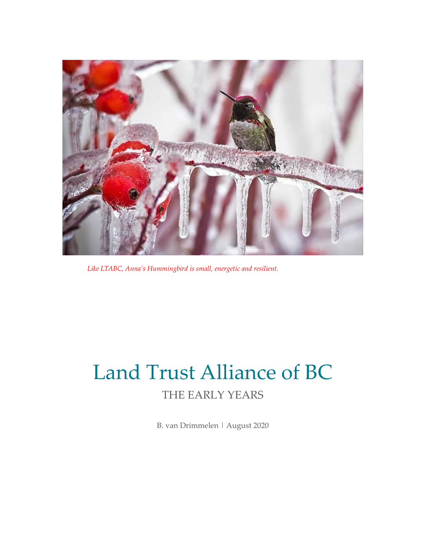

*Like LTABC, Anna's Hummingbird is small, energetic and resilient.*

# Land Trust Alliance of BC THE EARLY YEARS

B. van Drimmelen | August 2020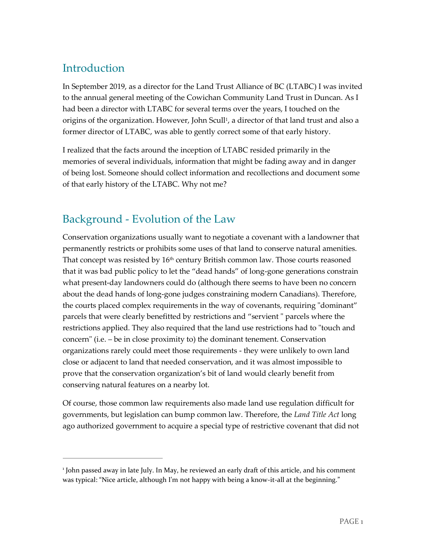# Introduction

 $\overline{a}$ 

In September 2019, as a director for the Land Trust Alliance of BC (LTABC) I was invited to the annual general meeting of the Cowichan Community Land Trust in Duncan. As I had been a director with LTABC for several terms over the years, I touched on the origins of the organization. However, John Scull<sup>1</sup>, a director of that land trust and also a former director of LTABC, was able to gently correct some of that early history.

I realized that the facts around the inception of LTABC resided primarily in the memories of several individuals, information that might be fading away and in danger of being lost. Someone should collect information and recollections and document some of that early history of the LTABC. Why not me?

### Background - Evolution of the Law

Conservation organizations usually want to negotiate a covenant with a landowner that permanently restricts or prohibits some uses of that land to conserve natural amenities. That concept was resisted by  $16<sup>th</sup>$  century British common law. Those courts reasoned that it was bad public policy to let the "dead hands" of long-gone generations constrain what present-day landowners could do (although there seems to have been no concern about the dead hands of long-gone judges constraining modern Canadians). Therefore, the courts placed complex requirements in the way of covenants, requiring "dominant" parcels that were clearly benefitted by restrictions and "servient " parcels where the restrictions applied. They also required that the land use restrictions had to "touch and concern" (i.e. – be in close proximity to) the dominant tenement. Conservation organizations rarely could meet those requirements - they were unlikely to own land close or adjacent to land that needed conservation, and it was almost impossible to prove that the conservation organization's bit of land would clearly benefit from conserving natural features on a nearby lot.

Of course, those common law requirements also made land use regulation difficult for governments, but legislation can bump common law. Therefore, the *Land Title Act* long ago authorized government to acquire a special type of restrictive covenant that did not

<sup>1</sup> John passed away in late July. In May, he reviewed an early draft of this article, and his comment was typical: "Nice article, although I'm not happy with being a know-it-all at the beginning."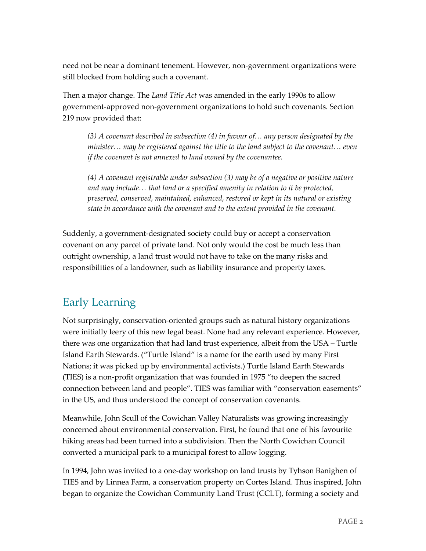need not be near a dominant tenement. However, non-government organizations were still blocked from holding such a covenant.

Then a major change. The *Land Title Act* was amended in the early 1990s to allow government-approved non-government organizations to hold such covenants. Section 219 now provided that:

*(3) A covenant described in subsection (4) in favour of… any person designated by the minister… may be registered against the title to the land subject to the covenant… even if the covenant is not annexed to land owned by the covenantee.*

*(4) A covenant registrable under subsection (3) may be of a negative or positive nature and may include… that land or a specified amenity in relation to it be protected, preserved, conserved, maintained, enhanced, restored or kept in its natural or existing state in accordance with the covenant and to the extent provided in the covenant.*

Suddenly, a government-designated society could buy or accept a conservation covenant on any parcel of private land. Not only would the cost be much less than outright ownership, a land trust would not have to take on the many risks and responsibilities of a landowner, such as liability insurance and property taxes.

# Early Learning

Not surprisingly, conservation-oriented groups such as natural history organizations were initially leery of this new legal beast. None had any relevant experience. However, there was one organization that had land trust experience, albeit from the USA – Turtle Island Earth Stewards. ("Turtle Island" is a name for the earth used by many First Nations; it was picked up by environmental activists.) Turtle Island Earth Stewards (TIES) is a non-profit organization that was founded in 1975 "to deepen the sacred connection between land and people". TIES was familiar with "conservation easements" in the US, and thus understood the concept of conservation covenants.

Meanwhile, John Scull of the Cowichan Valley Naturalists was growing increasingly concerned about environmental conservation. First, he found that one of his favourite hiking areas had been turned into a subdivision. Then the North Cowichan Council converted a municipal park to a municipal forest to allow logging.

In 1994, John was invited to a one-day workshop on land trusts by Tyhson Banighen of TIES and by Linnea Farm, a conservation property on Cortes Island. Thus inspired, John began to organize the Cowichan Community Land Trust (CCLT), forming a society and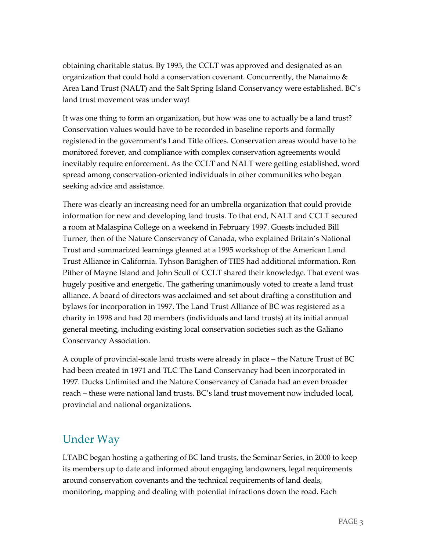obtaining charitable status. By 1995, the CCLT was approved and designated as an organization that could hold a conservation covenant. Concurrently, the Nanaimo  $\&$ Area Land Trust (NALT) and the Salt Spring Island Conservancy were established. BC's land trust movement was under way!

It was one thing to form an organization, but how was one to actually be a land trust? Conservation values would have to be recorded in baseline reports and formally registered in the government's Land Title offices. Conservation areas would have to be monitored forever, and compliance with complex conservation agreements would inevitably require enforcement. As the CCLT and NALT were getting established, word spread among conservation-oriented individuals in other communities who began seeking advice and assistance.

There was clearly an increasing need for an umbrella organization that could provide information for new and developing land trusts. To that end, NALT and CCLT secured a room at Malaspina College on a weekend in February 1997. Guests included Bill Turner, then of the Nature Conservancy of Canada, who explained Britain's National Trust and summarized learnings gleaned at a 1995 workshop of the American Land Trust Alliance in California. Tyhson Banighen of TIES had additional information. Ron Pither of Mayne Island and John Scull of CCLT shared their knowledge. That event was hugely positive and energetic. The gathering unanimously voted to create a land trust alliance. A board of directors was acclaimed and set about drafting a constitution and bylaws for incorporation in 1997. The Land Trust Alliance of BC was registered as a charity in 1998 and had 20 members (individuals and land trusts) at its initial annual general meeting, including existing local conservation societies such as the Galiano Conservancy Association.

A couple of provincial-scale land trusts were already in place – the Nature Trust of BC had been created in 1971 and TLC The Land Conservancy had been incorporated in 1997. Ducks Unlimited and the Nature Conservancy of Canada had an even broader reach – these were national land trusts. BC's land trust movement now included local, provincial and national organizations.

### Under Way

LTABC began hosting a gathering of BC land trusts, the Seminar Series, in 2000 to keep its members up to date and informed about engaging landowners, legal requirements around conservation covenants and the technical requirements of land deals, monitoring, mapping and dealing with potential infractions down the road. Each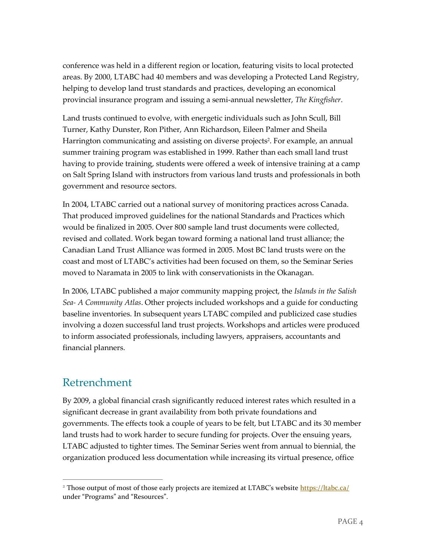conference was held in a different region or location, featuring visits to local protected areas. By 2000, LTABC had 40 members and was developing a Protected Land Registry, helping to develop land trust standards and practices, developing an economical provincial insurance program and issuing a semi-annual newsletter, *The Kingfisher*.

Land trusts continued to evolve, with energetic individuals such as John Scull, Bill Turner, Kathy Dunster, Ron Pither, Ann Richardson, Eileen Palmer and Sheila Harrington communicating and assisting on diverse projects<sup>2</sup>. For example, an annual summer training program was established in 1999. Rather than each small land trust having to provide training, students were offered a week of intensive training at a camp on Salt Spring Island with instructors from various land trusts and professionals in both government and resource sectors.

In 2004, LTABC carried out a national survey of monitoring practices across Canada. That produced improved guidelines for the national Standards and Practices which would be finalized in 2005. Over 800 sample land trust documents were collected, revised and collated. Work began toward forming a national land trust alliance; the Canadian Land Trust Alliance was formed in 2005. Most BC land trusts were on the coast and most of LTABC's activities had been focused on them, so the Seminar Series moved to Naramata in 2005 to link with conservationists in the Okanagan.

In 2006, LTABC published a major community mapping project, the *Islands in the Salish Sea- A Community Atlas*. Other projects included workshops and a guide for conducting baseline inventories. In subsequent years LTABC compiled and publicized case studies involving a dozen successful land trust projects. Workshops and articles were produced to inform associated professionals, including lawyers, appraisers, accountants and financial planners.

#### Retrenchment

 $\overline{a}$ 

By 2009, a global financial crash significantly reduced interest rates which resulted in a significant decrease in grant availability from both private foundations and governments. The effects took a couple of years to be felt, but LTABC and its 30 member land trusts had to work harder to secure funding for projects. Over the ensuing years, LTABC adjusted to tighter times. The Seminar Series went from annual to biennial, the organization produced less documentation while increasing its virtual presence, office

<sup>&</sup>lt;sup>2</sup> Those output of most of those early projects are itemized at LTABC's website <https://ltabc.ca/> under "Programs" and "Resources".